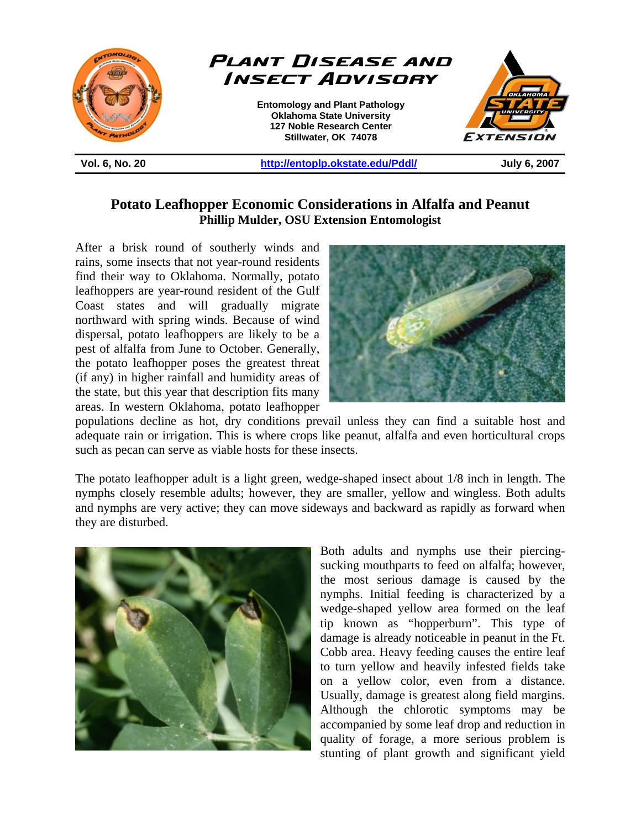

## **Potato Leafhopper Economic Considerations in Alfalfa and Peanut Phillip Mulder, OSU Extension Entomologist**

After a brisk round of southerly winds and rains, some insects that not year-round residents find their way to Oklahoma. Normally, potato leafhoppers are year-round resident of the Gulf Coast states and will gradually migrate northward with spring winds. Because of wind dispersal, potato leafhoppers are likely to be a pest of alfalfa from June to October. Generally, the potato leafhopper poses the greatest threat (if any) in higher rainfall and humidity areas of the state, but this year that description fits many areas. In western Oklahoma, potato leafhopper



populations decline as hot, dry conditions prevail unless they can find a suitable host and adequate rain or irrigation. This is where crops like peanut, alfalfa and even horticultural crops such as pecan can serve as viable hosts for these insects.

The potato leafhopper adult is a light green, wedge-shaped insect about 1/8 inch in length. The nymphs closely resemble adults; however, they are smaller, yellow and wingless. Both adults and nymphs are very active; they can move sideways and backward as rapidly as forward when they are disturbed.



Both adults and nymphs use their piercingsucking mouthparts to feed on alfalfa; however, the most serious damage is caused by the nymphs. Initial feeding is characterized by a wedge-shaped yellow area formed on the leaf tip known as "hopperburn". This type of damage is already noticeable in peanut in the Ft. Cobb area. Heavy feeding causes the entire leaf to turn yellow and heavily infested fields take on a yellow color, even from a distance. Usually, damage is greatest along field margins. Although the chlorotic symptoms may be accompanied by some leaf drop and reduction in quality of forage, a more serious problem is stunting of plant growth and significant yield